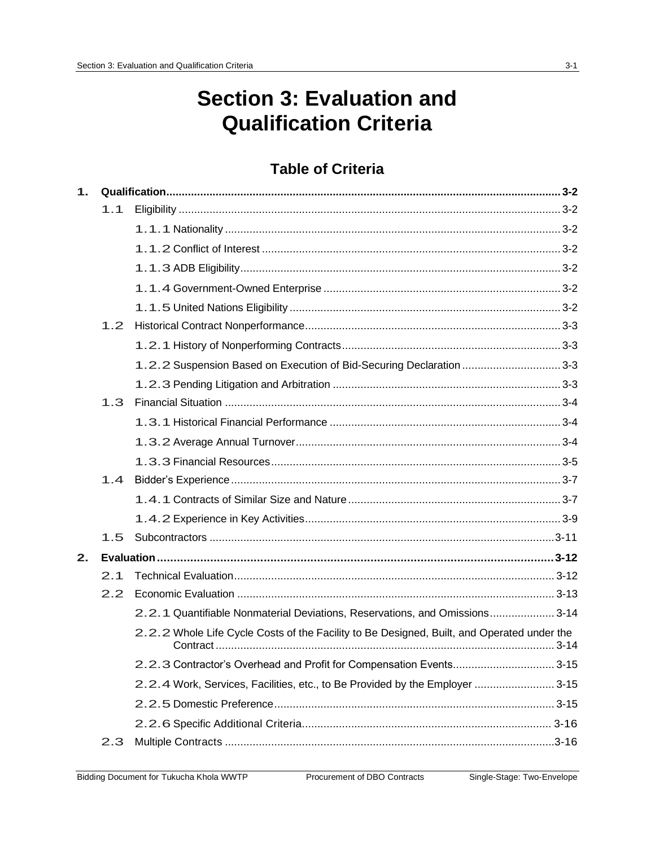# **Section 3: Evaluation and Qualification Criteria**

## **Table of Criteria**

| 1. |     |                                                                                            |  |
|----|-----|--------------------------------------------------------------------------------------------|--|
|    | 1.1 |                                                                                            |  |
|    |     |                                                                                            |  |
|    |     |                                                                                            |  |
|    |     |                                                                                            |  |
|    |     |                                                                                            |  |
|    |     |                                                                                            |  |
|    | 1.2 |                                                                                            |  |
|    |     |                                                                                            |  |
|    |     | 1.2.2 Suspension Based on Execution of Bid-Securing Declaration 3-3                        |  |
|    |     |                                                                                            |  |
|    | 1.3 |                                                                                            |  |
|    |     |                                                                                            |  |
|    |     |                                                                                            |  |
|    |     |                                                                                            |  |
|    | 1.4 |                                                                                            |  |
|    |     |                                                                                            |  |
|    |     |                                                                                            |  |
|    | 1.5 |                                                                                            |  |
| 2. |     |                                                                                            |  |
|    | 2.1 |                                                                                            |  |
|    | 2.2 |                                                                                            |  |
|    |     | 2.2.1 Quantifiable Nonmaterial Deviations, Reservations, and Omissions 3-14                |  |
|    |     | 2.2.2 Whole Life Cycle Costs of the Facility to Be Designed, Built, and Operated under the |  |
|    |     | 2.2.3 Contractor's Overhead and Profit for Compensation Events 3-15                        |  |
|    |     | 2.2.4 Work, Services, Facilities, etc., to Be Provided by the Employer 3-15                |  |
|    |     |                                                                                            |  |
|    |     |                                                                                            |  |
|    | 2.3 |                                                                                            |  |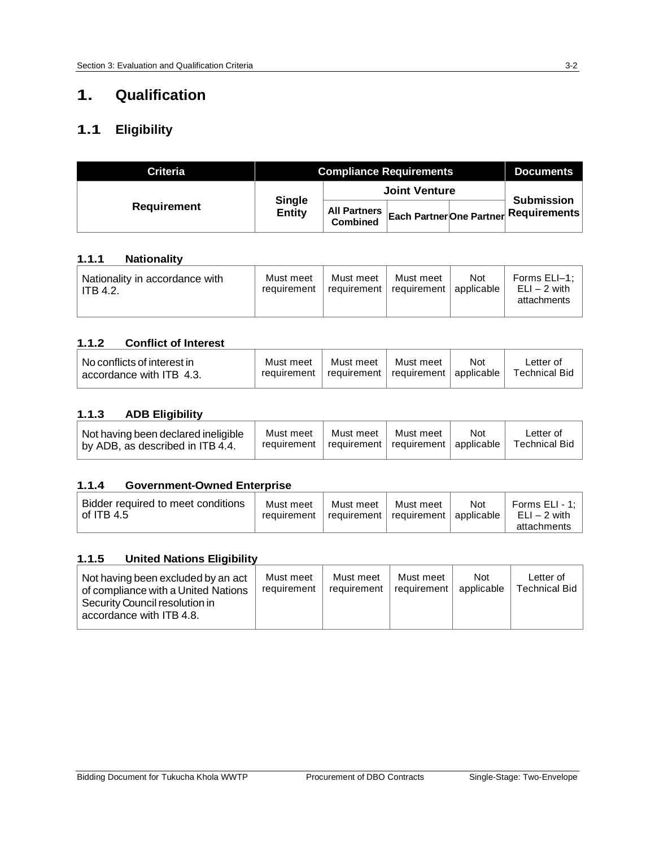## **1. Qualification**

## **1.1 Eligibility**

| Criteria           | <b>Compliance Requirements</b> |                                 |  |  | <b>Documents</b>                                             |
|--------------------|--------------------------------|---------------------------------|--|--|--------------------------------------------------------------|
|                    |                                | <b>Joint Venture</b>            |  |  |                                                              |
| <b>Requirement</b> | <b>Single</b><br><b>Entity</b> | All Partners<br><b>Combined</b> |  |  | <b>Submission</b><br>  Each Partner One Partner Requirements |

#### **1.1.1 Nationality**

| Nationality in accordance with<br>ITB 4.2. | Must meet<br>requirement | Must meet<br>  requirement   requirement   applicable | Must meet | Not | Forms ELI-1:<br>$ELI - 2$ with<br>attachments |
|--------------------------------------------|--------------------------|-------------------------------------------------------|-----------|-----|-----------------------------------------------|
|--------------------------------------------|--------------------------|-------------------------------------------------------|-----------|-----|-----------------------------------------------|

#### **1.1.2 Conflict of Interest**

| $\mid$ No conflicts of interest in $\mid$<br>accordance with ITB 4.3. | Must meet<br>requirement | Must meet<br>$\top$ requirement   requirement   applicable | Must meet | Not | Letter of<br>Technical Bid |
|-----------------------------------------------------------------------|--------------------------|------------------------------------------------------------|-----------|-----|----------------------------|
|-----------------------------------------------------------------------|--------------------------|------------------------------------------------------------|-----------|-----|----------------------------|

#### **1.1.3 ADB Eligibility**

| Not having been declared ineligible<br>by ADB, as described in ITB 4.4. | Must meet<br>requirement | Must meet<br>$\perp$ requirement $\parallel$ requirement $\parallel$ applicable $\parallel$ | Must meet | <b>Not</b> | ∟etter of<br><b>Technical Bid</b> |
|-------------------------------------------------------------------------|--------------------------|---------------------------------------------------------------------------------------------|-----------|------------|-----------------------------------|
|-------------------------------------------------------------------------|--------------------------|---------------------------------------------------------------------------------------------|-----------|------------|-----------------------------------|

#### **1.1.4 Government-Owned Enterprise**

| Bidder required to meet conditions<br>of ITB 4.5 | Must meet<br>requirement | Must meet<br>requirement   requirement   applicable | Must meet | Not | Forms $ELI - 1$ :<br>ELI – 2 with<br>attachments |
|--------------------------------------------------|--------------------------|-----------------------------------------------------|-----------|-----|--------------------------------------------------|
|                                                  |                          |                                                     |           |     |                                                  |

#### **1.1.5 United Nations Eligibility**

| Not having been excluded by an act<br>of compliance with a United Nations<br>Security Council resolution in<br>accordance with ITB 4.8. | Must meet<br>requirement | Must meet<br>reauirement | Must meet<br>l reauirement l | <b>Not</b><br>applicable | Letter of<br>Technical Bid |
|-----------------------------------------------------------------------------------------------------------------------------------------|--------------------------|--------------------------|------------------------------|--------------------------|----------------------------|
|-----------------------------------------------------------------------------------------------------------------------------------------|--------------------------|--------------------------|------------------------------|--------------------------|----------------------------|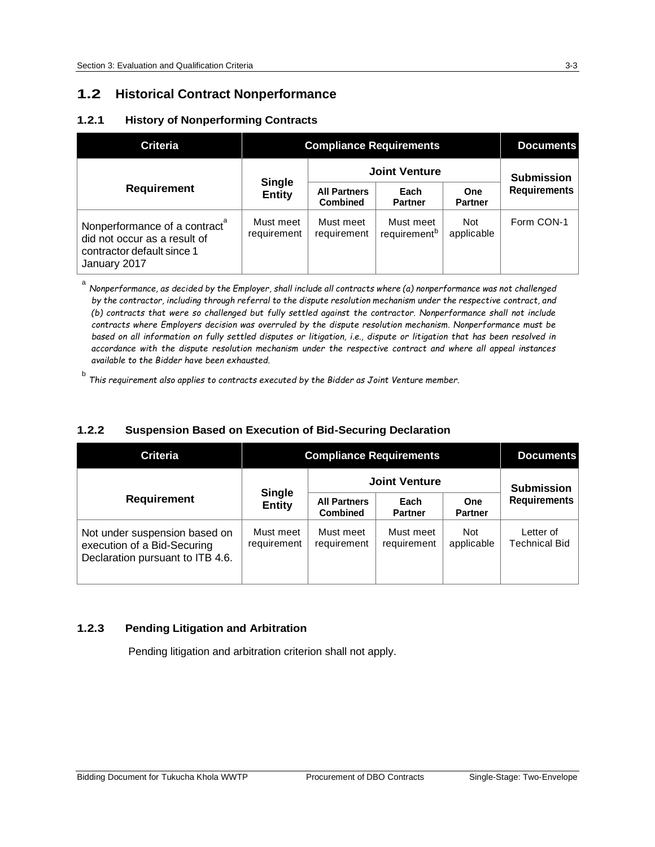a

## **1.2 Historical Contract Nonperformance**

#### **1.2.1 History of Nonperforming Contracts**

| <b>Criteria</b>                                                                                                         | <b>Compliance Requirements</b> | <b>Documents</b>                       |                                       |                          |                     |
|-------------------------------------------------------------------------------------------------------------------------|--------------------------------|----------------------------------------|---------------------------------------|--------------------------|---------------------|
|                                                                                                                         |                                | <b>Joint Venture</b>                   | <b>Submission</b>                     |                          |                     |
| <b>Requirement</b>                                                                                                      | <b>Single</b><br><b>Entity</b> | <b>All Partners</b><br><b>Combined</b> | Each<br><b>Partner</b>                | One<br><b>Partner</b>    | <b>Requirements</b> |
| Nonperformance of a contract <sup>a</sup><br>did not occur as a result of<br>contractor default since 1<br>January 2017 | Must meet<br>requirement       | Must meet<br>requirement               | Must meet<br>requirement <sup>b</sup> | <b>Not</b><br>applicable | Form CON-1          |

Nonperformance, as decided by the Employer, shall include all contracts where (a) nonperformance was not challenged *by the contractor, including through referral to the dispute resolution mechanism under the respective contract, and (b) contracts that were so challenged but fully settled against the contractor. Nonperformance shall not include contracts where Employers decision was overruled by the dispute resolution mechanism. Nonperformance must be based on all information on fully settled disputes or litigation, i.e., dispute or litigation that has been resolved in accordance with the dispute resolution mechanism under the respective contract and where all appeal instances available to the Bidder have been exhausted.*

b *This requirement also applies to contracts executed by the Bidder as Joint Venture member.*

#### **1.2.2 Suspension Based on Execution of Bid-Securing Declaration**

| Criteria                                                                                         | <b>Compliance Requirements</b> | <b>Documents</b>                       |                          |                              |                                   |
|--------------------------------------------------------------------------------------------------|--------------------------------|----------------------------------------|--------------------------|------------------------------|-----------------------------------|
|                                                                                                  |                                | <b>Joint Venture</b>                   | <b>Submission</b>        |                              |                                   |
| <b>Requirement</b>                                                                               | <b>Single</b><br><b>Entity</b> | <b>All Partners</b><br><b>Combined</b> | Each<br><b>Partner</b>   | <b>One</b><br><b>Partner</b> | <b>Requirements</b>               |
| Not under suspension based on<br>execution of a Bid-Securing<br>Declaration pursuant to ITB 4.6. | Must meet<br>requirement       | Must meet<br>requirement               | Must meet<br>requirement | <b>Not</b><br>applicable     | Letter of<br><b>Technical Bid</b> |

#### **1.2.3 Pending Litigation and Arbitration**

Pending litigation and arbitration criterion shall not apply.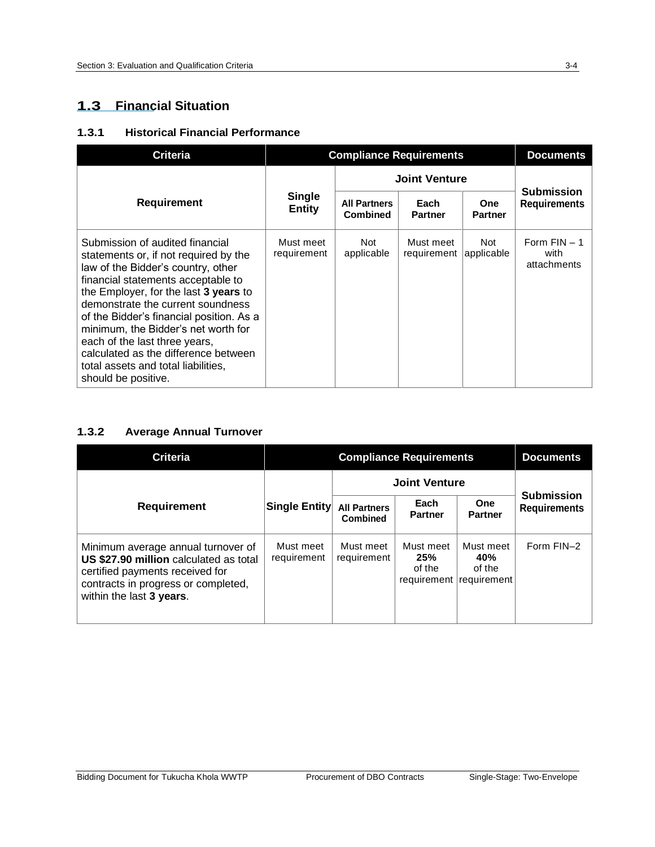## **1.3 Financial Situation**

#### **1.3.1 Historical Financial Performance**

| <b>Criteria</b>                                                                                                                                                                                                                                                                                                                                                                                                                                              |                                                            | <b>Compliance Requirements</b>         |                                     |                              |                                          |
|--------------------------------------------------------------------------------------------------------------------------------------------------------------------------------------------------------------------------------------------------------------------------------------------------------------------------------------------------------------------------------------------------------------------------------------------------------------|------------------------------------------------------------|----------------------------------------|-------------------------------------|------------------------------|------------------------------------------|
|                                                                                                                                                                                                                                                                                                                                                                                                                                                              |                                                            |                                        | <b>Joint Venture</b>                |                              | <b>Submission</b><br><b>Requirements</b> |
| <b>Requirement</b>                                                                                                                                                                                                                                                                                                                                                                                                                                           | <b>Single</b><br><b>Entity</b><br>Must meet<br>requirement | <b>All Partners</b><br><b>Combined</b> | Each<br><b>Partner</b>              | <b>One</b><br><b>Partner</b> |                                          |
| Submission of audited financial<br>statements or, if not required by the<br>law of the Bidder's country, other<br>financial statements acceptable to<br>the Employer, for the last 3 years to<br>demonstrate the current soundness<br>of the Bidder's financial position. As a<br>minimum, the Bidder's net worth for<br>each of the last three years,<br>calculated as the difference between<br>total assets and total liabilities.<br>should be positive. |                                                            | Not<br>applicable                      | Must meet<br>requirement applicable | Not                          | Form $FIN - 1$<br>with<br>attachments    |

## **1.3.2 Average Annual Turnover**

| <b>Criteria</b>                                                                                                                                                                    |                                   | <b>Compliance Requirements</b>         |                                           |                                           | <b>Documents</b>                         |
|------------------------------------------------------------------------------------------------------------------------------------------------------------------------------------|-----------------------------------|----------------------------------------|-------------------------------------------|-------------------------------------------|------------------------------------------|
|                                                                                                                                                                                    |                                   | <b>Joint Venture</b>                   |                                           |                                           |                                          |
| <b>Requirement</b>                                                                                                                                                                 | <b>Single Entity</b><br>Must meet | <b>All Partners</b><br><b>Combined</b> | Each<br><b>Partner</b>                    | <b>One</b><br><b>Partner</b>              | <b>Submission</b><br><b>Requirements</b> |
| Minimum average annual turnover of<br>US \$27.90 million calculated as total<br>certified payments received for<br>contracts in progress or completed,<br>within the last 3 years. | requirement                       | Must meet<br>requirement               | Must meet<br>25%<br>of the<br>requirement | Must meet<br>40%<br>of the<br>requirement | Form FIN-2                               |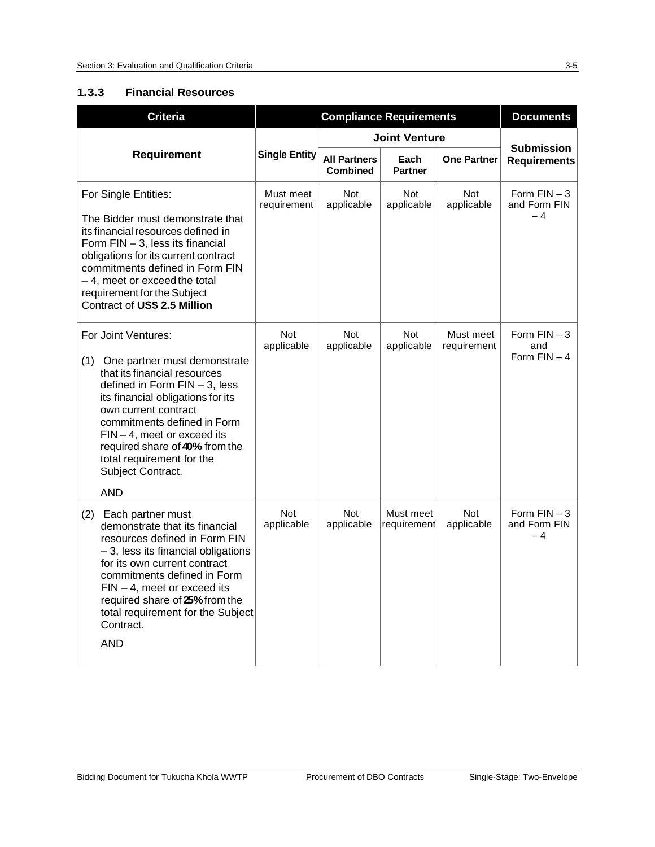#### **1.3.3 Financial Resources**

| <b>Criteria</b>                                                                                                                                                                                                                                                                                                                                           |                          | <b>Compliance Requirements</b>         | <b>Documents</b>         |                          |                                          |
|-----------------------------------------------------------------------------------------------------------------------------------------------------------------------------------------------------------------------------------------------------------------------------------------------------------------------------------------------------------|--------------------------|----------------------------------------|--------------------------|--------------------------|------------------------------------------|
|                                                                                                                                                                                                                                                                                                                                                           |                          | <b>Joint Venture</b>                   |                          |                          |                                          |
| <b>Requirement</b>                                                                                                                                                                                                                                                                                                                                        | <b>Single Entity</b>     | <b>All Partners</b><br><b>Combined</b> | Each<br><b>Partner</b>   | <b>One Partner</b>       | <b>Submission</b><br><b>Requirements</b> |
| For Single Entities:<br>The Bidder must demonstrate that<br>its financial resources defined in<br>Form FIN - 3, less its financial<br>obligations for its current contract<br>commitments defined in Form FIN<br>- 4, meet or exceed the total<br>requirement for the Subject<br>Contract of US\$ 2.5 Million                                             | Must meet<br>requirement | <b>Not</b><br>applicable               | <b>Not</b><br>applicable | <b>Not</b><br>applicable | Form $FIN - 3$<br>and Form FIN<br>$-4$   |
| For Joint Ventures:<br>(1) One partner must demonstrate<br>that its financial resources<br>defined in Form $FIN - 3$ , less<br>its financial obligations for its<br>own current contract<br>commitments defined in Form<br>$FIN-4$ , meet or exceed its<br>required share of 40% from the<br>total requirement for the<br>Subject Contract.<br><b>AND</b> | <b>Not</b><br>applicable | <b>Not</b><br>applicable               | <b>Not</b><br>applicable | Must meet<br>requirement | Form $FIN - 3$<br>and<br>Form $FIN - 4$  |
| (2)<br>Each partner must<br>demonstrate that its financial<br>resources defined in Form FIN<br>- 3, less its financial obligations<br>for its own current contract<br>commitments defined in Form<br>$FIN - 4$ , meet or exceed its<br>required share of 25% from the<br>total requirement for the Subject<br>Contract.<br><b>AND</b>                     | <b>Not</b><br>applicable | <b>Not</b><br>applicable               | Must meet<br>requirement | <b>Not</b><br>applicable | Form $FIN - 3$<br>and Form FIN<br>$-4$   |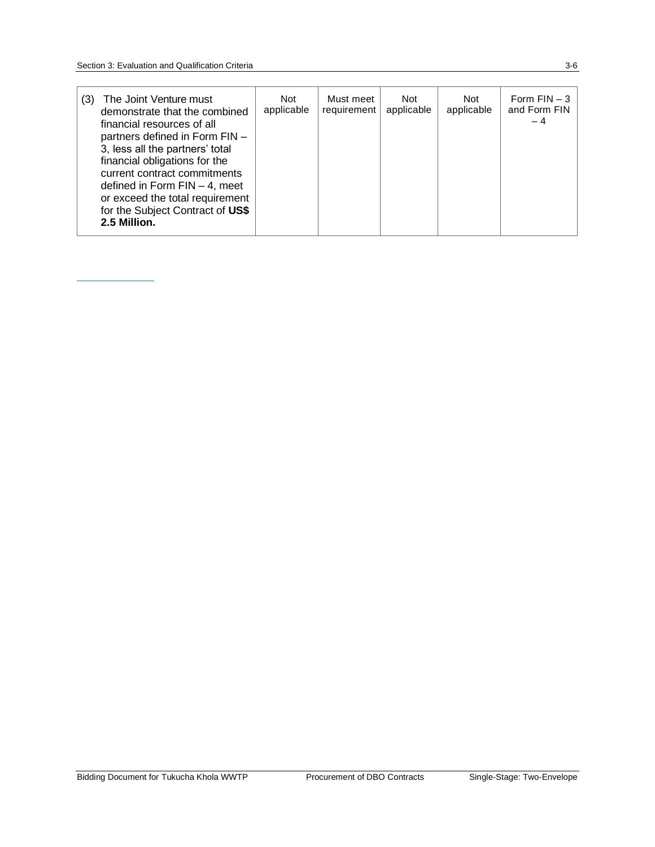| The Joint Venture must<br>(3)<br>demonstrate that the combined<br>financial resources of all<br>partners defined in Form FIN -<br>3, less all the partners' total<br>financial obligations for the<br>current contract commitments<br>defined in Form $FIN - 4$ , meet<br>or exceed the total requirement<br>for the Subject Contract of US\$<br>2.5 Million. | Not<br>applicable | Must meet<br>requirement | Not<br>applicable | Not<br>applicable | Form $FIN - 3$<br>and Form FIN<br>$-4$ |
|---------------------------------------------------------------------------------------------------------------------------------------------------------------------------------------------------------------------------------------------------------------------------------------------------------------------------------------------------------------|-------------------|--------------------------|-------------------|-------------------|----------------------------------------|
|---------------------------------------------------------------------------------------------------------------------------------------------------------------------------------------------------------------------------------------------------------------------------------------------------------------------------------------------------------------|-------------------|--------------------------|-------------------|-------------------|----------------------------------------|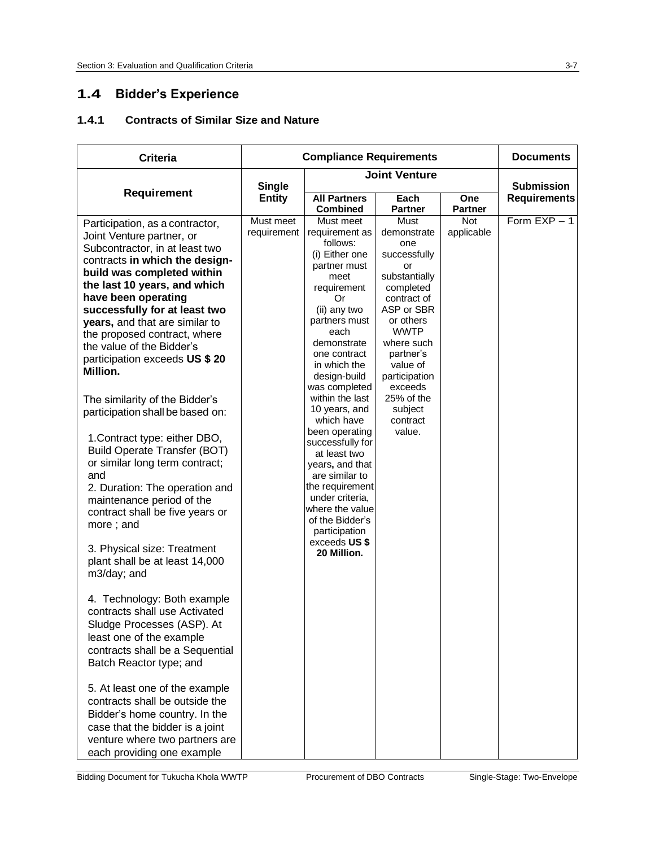## **1.4 Bidder's Experience**

## **1.4.1 Contracts of Similar Size and Nature**

| <b>Criteria</b>                                                                                                                                                                                                                                                                                                                                                                                                                                                                                                                                                                                                                                                                                                                                                                    | <b>Compliance Requirements</b> |                                                                                                                                                                                                                                                                       |                                                                                                                                                                                                            | <b>Documents</b>      |                     |
|------------------------------------------------------------------------------------------------------------------------------------------------------------------------------------------------------------------------------------------------------------------------------------------------------------------------------------------------------------------------------------------------------------------------------------------------------------------------------------------------------------------------------------------------------------------------------------------------------------------------------------------------------------------------------------------------------------------------------------------------------------------------------------|--------------------------------|-----------------------------------------------------------------------------------------------------------------------------------------------------------------------------------------------------------------------------------------------------------------------|------------------------------------------------------------------------------------------------------------------------------------------------------------------------------------------------------------|-----------------------|---------------------|
| Requirement                                                                                                                                                                                                                                                                                                                                                                                                                                                                                                                                                                                                                                                                                                                                                                        | <b>Single</b>                  |                                                                                                                                                                                                                                                                       | <b>Joint Venture</b>                                                                                                                                                                                       |                       | <b>Submission</b>   |
|                                                                                                                                                                                                                                                                                                                                                                                                                                                                                                                                                                                                                                                                                                                                                                                    | <b>Entity</b>                  | <b>All Partners</b><br><b>Combined</b>                                                                                                                                                                                                                                | Each<br><b>Partner</b>                                                                                                                                                                                     | <b>One</b><br>Partner | <b>Requirements</b> |
| Participation, as a contractor,<br>Joint Venture partner, or<br>Subcontractor, in at least two<br>contracts in which the design-<br>build was completed within<br>the last 10 years, and which<br>have been operating<br>successfully for at least two<br>years, and that are similar to<br>the proposed contract, where<br>the value of the Bidder's<br>participation exceeds US \$ 20<br>Million.                                                                                                                                                                                                                                                                                                                                                                                | Must meet<br>requirement       | Must meet<br>requirement as<br>follows:<br>(i) Either one<br>partner must<br>meet<br>requirement<br>Or<br>(ii) any two<br>partners must<br>each<br>demonstrate<br>one contract<br>in which the<br>design-build<br>was completed                                       | Must<br>demonstrate<br>one<br>successfully<br>or<br>substantially<br>completed<br>contract of<br>ASP or SBR<br>or others<br><b>WWTP</b><br>where such<br>partner's<br>value of<br>participation<br>exceeds | Not<br>applicable     | Form $EXP - 1$      |
| The similarity of the Bidder's<br>participation shall be based on:<br>1. Contract type: either DBO,<br><b>Build Operate Transfer (BOT)</b><br>or similar long term contract;<br>and<br>2. Duration: The operation and<br>maintenance period of the<br>contract shall be five years or<br>more; and<br>3. Physical size: Treatment<br>plant shall be at least 14,000<br>m3/day; and<br>4. Technology: Both example<br>contracts shall use Activated<br>Sludge Processes (ASP). At<br>least one of the example<br>contracts shall be a Sequential<br>Batch Reactor type; and<br>5. At least one of the example<br>contracts shall be outside the<br>Bidder's home country. In the<br>case that the bidder is a joint<br>venture where two partners are<br>each providing one example |                                | within the last<br>10 years, and<br>which have<br>been operating<br>successfully for<br>at least two<br>years, and that<br>are similar to<br>the requirement<br>under criteria.<br>where the value<br>of the Bidder's<br>participation<br>exceeds US\$<br>20 Million. | 25% of the<br>subject<br>contract<br>value.                                                                                                                                                                |                       |                     |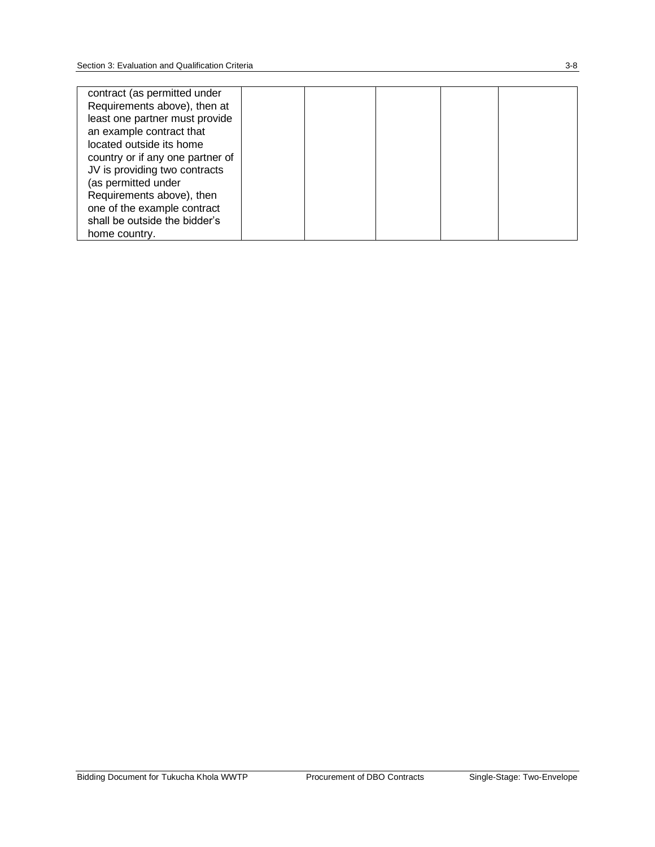| contract (as permitted under     |  |  |  |
|----------------------------------|--|--|--|
| Requirements above), then at     |  |  |  |
| least one partner must provide   |  |  |  |
| an example contract that         |  |  |  |
| located outside its home         |  |  |  |
| country or if any one partner of |  |  |  |
| JV is providing two contracts    |  |  |  |
| (as permitted under              |  |  |  |
| Requirements above), then        |  |  |  |
| one of the example contract      |  |  |  |
| shall be outside the bidder's    |  |  |  |
| home country.                    |  |  |  |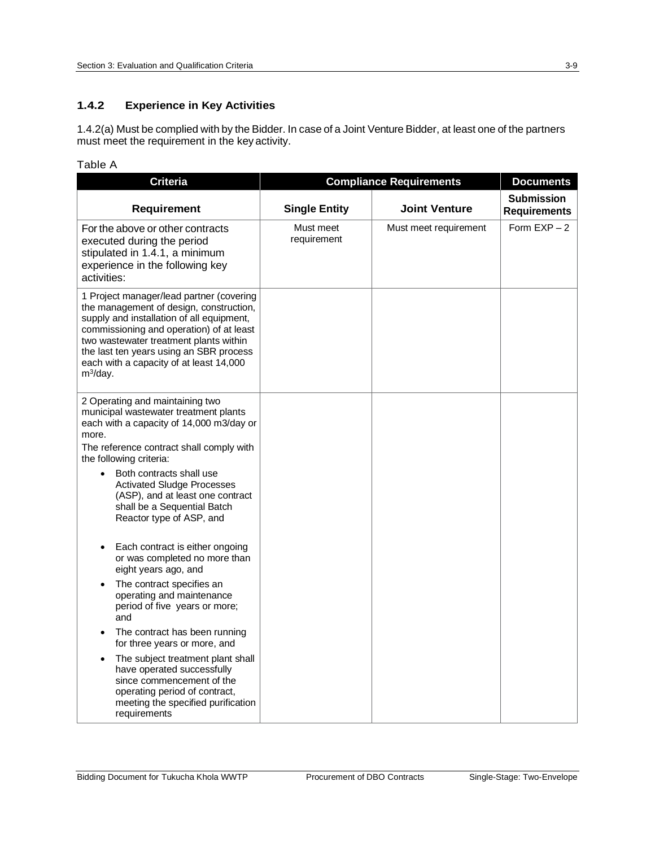#### **1.4.2 Experience in Key Activities**

1.4.2(a) Must be complied with by the Bidder. In case of a Joint Venture Bidder, at least one of the partners must meet the requirement in the key activity.

#### Table A

| <b>Criteria</b>                                                                                                                                                                                                                                                                                                                                                                                                                                                                                                                                                                                                                                                                                                                                                                                                                      | <b>Compliance Requirements</b> | <b>Documents</b>      |                                          |
|--------------------------------------------------------------------------------------------------------------------------------------------------------------------------------------------------------------------------------------------------------------------------------------------------------------------------------------------------------------------------------------------------------------------------------------------------------------------------------------------------------------------------------------------------------------------------------------------------------------------------------------------------------------------------------------------------------------------------------------------------------------------------------------------------------------------------------------|--------------------------------|-----------------------|------------------------------------------|
| <b>Requirement</b>                                                                                                                                                                                                                                                                                                                                                                                                                                                                                                                                                                                                                                                                                                                                                                                                                   | <b>Single Entity</b>           | <b>Joint Venture</b>  | <b>Submission</b><br><b>Requirements</b> |
| For the above or other contracts<br>executed during the period<br>stipulated in 1.4.1, a minimum<br>experience in the following key<br>activities:                                                                                                                                                                                                                                                                                                                                                                                                                                                                                                                                                                                                                                                                                   | Must meet<br>requirement       | Must meet requirement | Form $EXP - 2$                           |
| 1 Project manager/lead partner (covering<br>the management of design, construction,<br>supply and installation of all equipment,<br>commissioning and operation) of at least<br>two wastewater treatment plants within<br>the last ten years using an SBR process<br>each with a capacity of at least 14,000<br>$m^3$ /day.                                                                                                                                                                                                                                                                                                                                                                                                                                                                                                          |                                |                       |                                          |
| 2 Operating and maintaining two<br>municipal wastewater treatment plants<br>each with a capacity of 14,000 m3/day or<br>more.<br>The reference contract shall comply with<br>the following criteria:<br>Both contracts shall use<br>$\bullet$<br><b>Activated Sludge Processes</b><br>(ASP), and at least one contract<br>shall be a Sequential Batch<br>Reactor type of ASP, and<br>Each contract is either ongoing<br>or was completed no more than<br>eight years ago, and<br>The contract specifies an<br>operating and maintenance<br>period of five years or more;<br>and<br>The contract has been running<br>$\bullet$<br>for three years or more, and<br>The subject treatment plant shall<br>have operated successfully<br>since commencement of the<br>operating period of contract,<br>meeting the specified purification |                                |                       |                                          |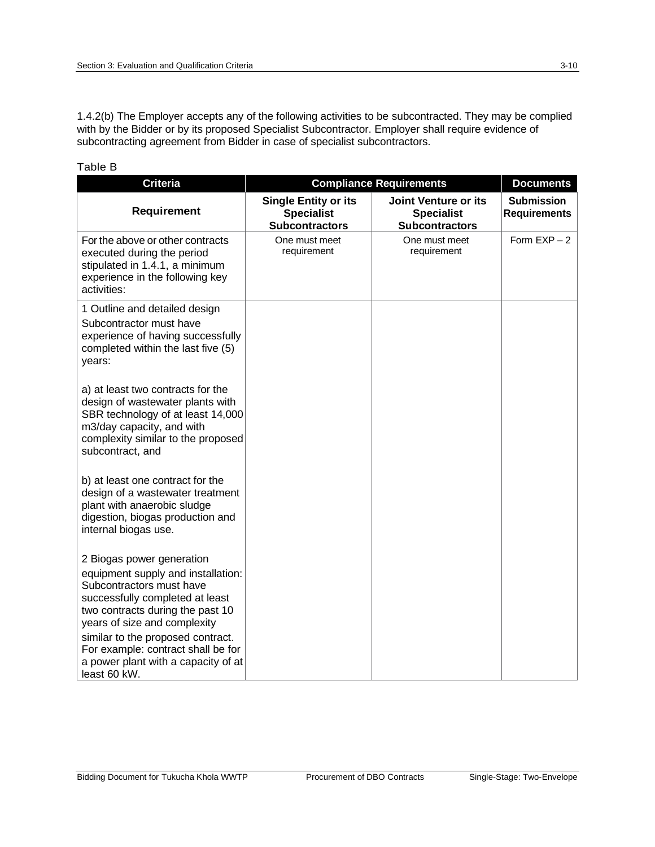1.4.2(b) The Employer accepts any of the following activities to be subcontracted. They may be complied with by the Bidder or by its proposed Specialist Subcontractor. Employer shall require evidence of subcontracting agreement from Bidder in case of specialist subcontractors.

| <b>Criteria</b>                                                                                                                                                                                                                                                                                                                      | <b>Compliance Requirements</b>                                            | <b>Documents</b>                                                   |                                          |
|--------------------------------------------------------------------------------------------------------------------------------------------------------------------------------------------------------------------------------------------------------------------------------------------------------------------------------------|---------------------------------------------------------------------------|--------------------------------------------------------------------|------------------------------------------|
| <b>Requirement</b>                                                                                                                                                                                                                                                                                                                   | <b>Single Entity or its</b><br><b>Specialist</b><br><b>Subcontractors</b> | Joint Venture or its<br><b>Specialist</b><br><b>Subcontractors</b> | <b>Submission</b><br><b>Requirements</b> |
| For the above or other contracts<br>executed during the period<br>stipulated in 1.4.1, a minimum<br>experience in the following key<br>activities:                                                                                                                                                                                   | One must meet<br>requirement                                              | One must meet<br>requirement                                       | Form $EXP - 2$                           |
| 1 Outline and detailed design<br>Subcontractor must have<br>experience of having successfully<br>completed within the last five (5)<br>years:                                                                                                                                                                                        |                                                                           |                                                                    |                                          |
| a) at least two contracts for the<br>design of wastewater plants with<br>SBR technology of at least 14,000<br>m3/day capacity, and with<br>complexity similar to the proposed<br>subcontract, and                                                                                                                                    |                                                                           |                                                                    |                                          |
| b) at least one contract for the<br>design of a wastewater treatment<br>plant with anaerobic sludge<br>digestion, biogas production and<br>internal biogas use.                                                                                                                                                                      |                                                                           |                                                                    |                                          |
| 2 Biogas power generation<br>equipment supply and installation:<br>Subcontractors must have<br>successfully completed at least<br>two contracts during the past 10<br>years of size and complexity<br>similar to the proposed contract.<br>For example: contract shall be for<br>a power plant with a capacity of at<br>least 60 kW. |                                                                           |                                                                    |                                          |

#### Table B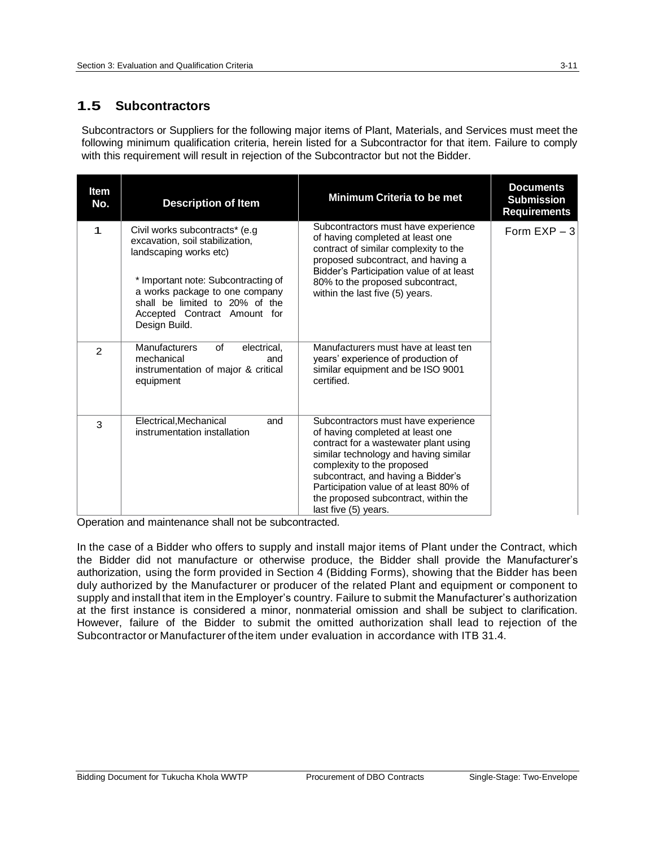## **1.5 Subcontractors**

Subcontractors or Suppliers for the following major items of Plant, Materials, and Services must meet the following minimum qualification criteria, herein listed for a Subcontractor for that item. Failure to comply with this requirement will result in rejection of the Subcontractor but not the Bidder.

| Item<br>No.   | <b>Description of Item</b>                                                                                                                                                                                                                               | <b>Minimum Criteria to be met</b>                                                                                                                                                                                                                                                                                                       | <b>Documents</b><br><b>Submission</b><br><b>Requirements</b> |
|---------------|----------------------------------------------------------------------------------------------------------------------------------------------------------------------------------------------------------------------------------------------------------|-----------------------------------------------------------------------------------------------------------------------------------------------------------------------------------------------------------------------------------------------------------------------------------------------------------------------------------------|--------------------------------------------------------------|
| $\mathbf 1$   | Civil works subcontracts* (e.g.<br>excavation, soil stabilization,<br>landscaping works etc)<br>* Important note: Subcontracting of<br>a works package to one company<br>shall be limited to 20% of the<br>Accepted Contract Amount for<br>Design Build. | Subcontractors must have experience<br>of having completed at least one<br>contract of similar complexity to the<br>proposed subcontract, and having a<br>Bidder's Participation value of at least<br>80% to the proposed subcontract,<br>within the last five (5) years.                                                               | Form $EXP - 3$                                               |
| $\mathcal{P}$ | <b>Manufacturers</b><br>of<br>electrical.<br>mechanical<br>and<br>instrumentation of major & critical<br>equipment                                                                                                                                       | Manufacturers must have at least ten<br>years' experience of production of<br>similar equipment and be ISO 9001<br>certified.                                                                                                                                                                                                           |                                                              |
| 3             | Electrical, Mechanical<br>and<br>instrumentation installation                                                                                                                                                                                            | Subcontractors must have experience<br>of having completed at least one<br>contract for a wastewater plant using<br>similar technology and having similar<br>complexity to the proposed<br>subcontract, and having a Bidder's<br>Participation value of at least 80% of<br>the proposed subcontract, within the<br>last five (5) years. |                                                              |

Operation and maintenance shall not be subcontracted.

In the case of a Bidder who offers to supply and install major items of Plant under the Contract, which the Bidder did not manufacture or otherwise produce, the Bidder shall provide the Manufacturer's authorization, using the form provided in Section 4 (Bidding Forms), showing that the Bidder has been duly authorized by the Manufacturer or producer of the related Plant and equipment or component to supply and install that item in the Employer's country. Failure to submit the Manufacturer's authorization at the first instance is considered a minor, nonmaterial omission and shall be subject to clarification. However, failure of the Bidder to submit the omitted authorization shall lead to rejection of the Subcontractor or Manufacturer of the item under evaluation in accordance with ITB 31.4.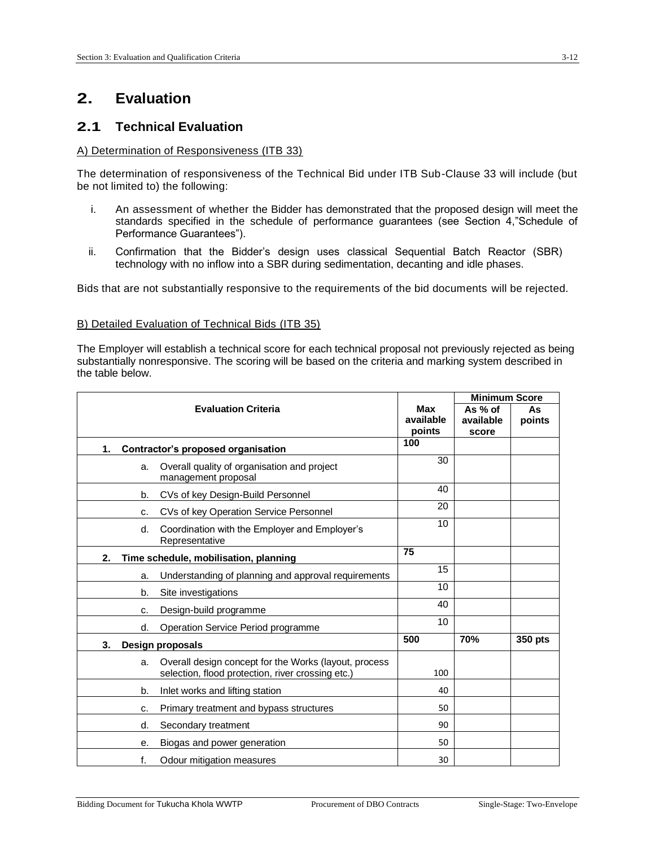## **2. Evaluation**

## **2.1 Technical Evaluation**

#### A) Determination of Responsiveness (ITB 33)

The determination of responsiveness of the Technical Bid under ITB Sub-Clause 33 will include (but be not limited to) the following:

- i. An assessment of whether the Bidder has demonstrated that the proposed design will meet the standards specified in the schedule of performance guarantees (see Section 4,"Schedule of Performance Guarantees").
- ii. Confirmation that the Bidder's design uses classical Sequential Batch Reactor (SBR) technology with no inflow into a SBR during sedimentation, decanting and idle phases.

Bids that are not substantially responsive to the requirements of the bid documents will be rejected.

#### B) Detailed Evaluation of Technical Bids (ITB 35)

The Employer will establish a technical score for each technical proposal not previously rejected as being substantially nonresponsive. The scoring will be based on the criteria and marking system described in the table below.

|                |                                                                                                            |            | <b>Minimum Score</b> |         |
|----------------|------------------------------------------------------------------------------------------------------------|------------|----------------------|---------|
|                | <b>Evaluation Criteria</b>                                                                                 | <b>Max</b> | As $%$ of            | As      |
|                |                                                                                                            | available  | available            | points  |
|                |                                                                                                            | points     | score                |         |
| $\mathbf{1}$ . | Contractor's proposed organisation                                                                         | 100        |                      |         |
| a.             | Overall quality of organisation and project<br>management proposal                                         | 30         |                      |         |
| b.             | CVs of key Design-Build Personnel                                                                          | 40         |                      |         |
| c.             | CVs of key Operation Service Personnel                                                                     | 20         |                      |         |
| d.             | Coordination with the Employer and Employer's<br>Representative                                            | 10         |                      |         |
| 2.             | Time schedule, mobilisation, planning                                                                      | 75         |                      |         |
| a.             | Understanding of planning and approval requirements                                                        | 15         |                      |         |
| b.             | Site investigations                                                                                        | 10         |                      |         |
| c.             | Design-build programme                                                                                     | 40         |                      |         |
| d.             | Operation Service Period programme                                                                         | 10         |                      |         |
| 3.             | Design proposals                                                                                           | 500        | 70%                  | 350 pts |
| a.             | Overall design concept for the Works (layout, process<br>selection, flood protection, river crossing etc.) | 100        |                      |         |
| b.             | Inlet works and lifting station                                                                            | 40         |                      |         |
| c.             | Primary treatment and bypass structures                                                                    | 50         |                      |         |
| d.             | Secondary treatment                                                                                        | 90         |                      |         |
| е.             | Biogas and power generation                                                                                | 50         |                      |         |
| f.             | Odour mitigation measures                                                                                  | 30         |                      |         |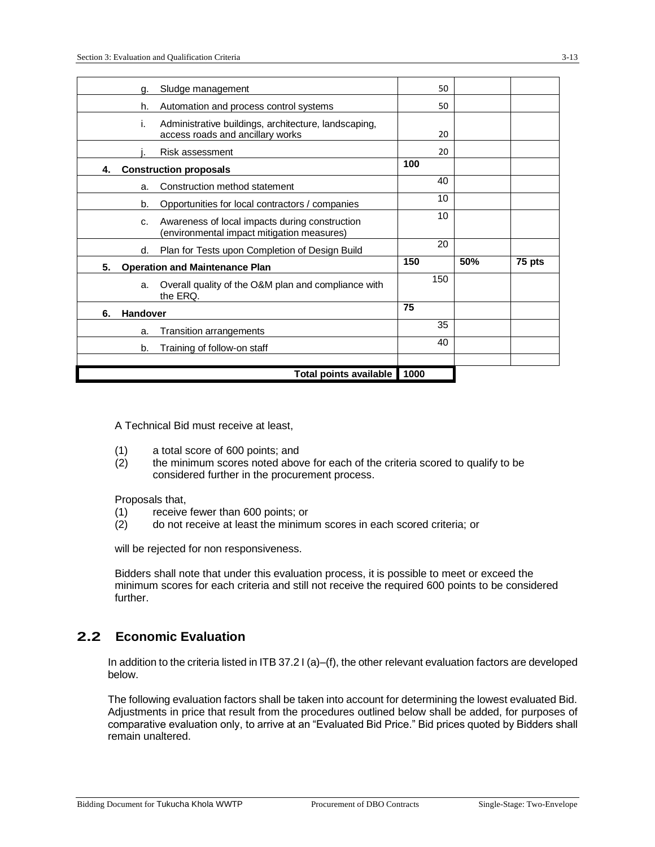|    | q.              | Sludge management                                                                            | 50   |     |        |
|----|-----------------|----------------------------------------------------------------------------------------------|------|-----|--------|
|    | h.              | Automation and process control systems                                                       | 50   |     |        |
|    | i.              | Administrative buildings, architecture, landscaping,<br>access roads and ancillary works     | 20   |     |        |
|    |                 | Risk assessment                                                                              | 20   |     |        |
| 4. |                 | <b>Construction proposals</b>                                                                | 100  |     |        |
|    | a.              | Construction method statement                                                                | 40   |     |        |
|    | b.              | Opportunities for local contractors / companies                                              | 10   |     |        |
|    | C.              | Awareness of local impacts during construction<br>(environmental impact mitigation measures) | 10   |     |        |
|    | d.              | Plan for Tests upon Completion of Design Build                                               | 20   |     |        |
| 5. |                 | <b>Operation and Maintenance Plan</b>                                                        | 150  | 50% | 75 pts |
|    | a.              | Overall quality of the O&M plan and compliance with<br>the ERQ.                              | 150  |     |        |
| 6. | <b>Handover</b> |                                                                                              | 75   |     |        |
|    | a.              | <b>Transition arrangements</b>                                                               | 35   |     |        |
|    | b.              | Training of follow-on staff                                                                  | 40   |     |        |
|    |                 |                                                                                              |      |     |        |
|    |                 | Total points available                                                                       | 1000 |     |        |

A Technical Bid must receive at least,

- (1) a total score of 600 points; and
- (2) the minimum scores noted above for each of the criteria scored to qualify to be considered further in the procurement process.

Proposals that,

- (1) receive fewer than 600 points; or<br>(2) do not receive at least the minimu
- do not receive at least the minimum scores in each scored criteria; or

will be rejected for non responsiveness.

Bidders shall note that under this evaluation process, it is possible to meet or exceed the minimum scores for each criteria and still not receive the required 600 points to be considered further.

## **2.2 Economic Evaluation**

In addition to the criteria listed in ITB 37.2 I (a)–(f), the other relevant evaluation factors are developed below.

The following evaluation factors shall be taken into account for determining the lowest evaluated Bid. Adjustments in price that result from the procedures outlined below shall be added, for purposes of comparative evaluation only, to arrive at an "Evaluated Bid Price." Bid prices quoted by Bidders shall remain unaltered.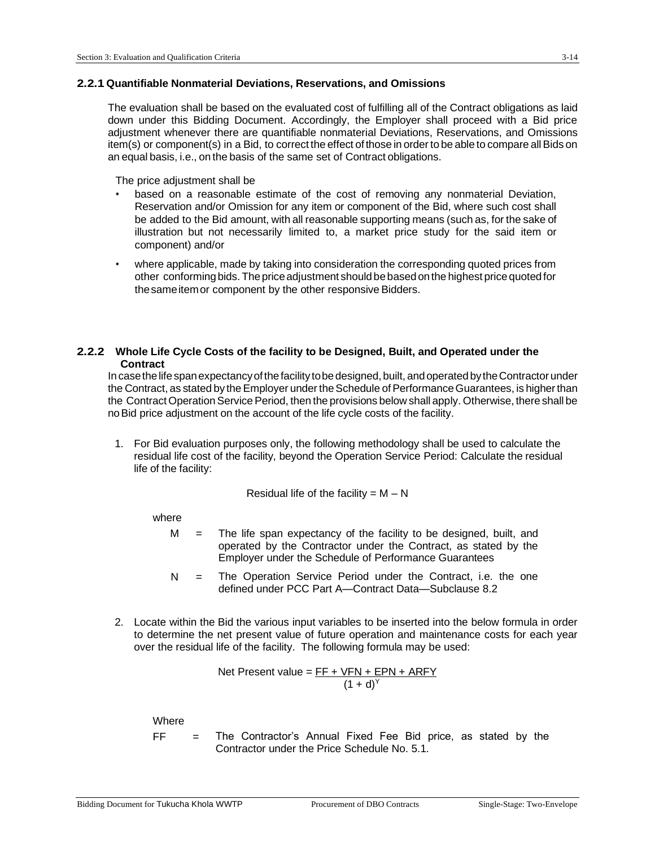#### **2.2.1 Quantifiable Nonmaterial Deviations, Reservations, and Omissions**

The evaluation shall be based on the evaluated cost of fulfilling all of the Contract obligations as laid down under this Bidding Document. Accordingly, the Employer shall proceed with a Bid price adjustment whenever there are quantifiable nonmaterial Deviations, Reservations, and Omissions item(s) or component(s) in a Bid, to correct the effect of those in order to be able to compare all Bids on an equal basis, i.e., on the basis of the same set of Contract obligations.

The price adjustment shall be

- based on a reasonable estimate of the cost of removing any nonmaterial Deviation, Reservation and/or Omission for any item or component of the Bid, where such cost shall be added to the Bid amount, with all reasonable supporting means (such as, for the sake of illustration but not necessarily limited to, a market price study for the said item or component) and/or
- where applicable, made by taking into consideration the corresponding quoted prices from other conforming bids. The price adjustment should be based on the highest price quoted for the same item or component by the other responsive Bidders.

#### **2.2.2 Whole Life Cycle Costs of the facility to be Designed, Built, and Operated under the Contract**

In case the life span expectancy of the facility to be designed, built, and operated by the Contractor under the Contract, as stated by the Employer under the Schedule of Performance Guarantees, is higher than the Contract Operation Service Period, then the provisions below shall apply. Otherwise, there shall be noBid price adjustment on the account of the life cycle costs of the facility.

1. For Bid evaluation purposes only, the following methodology shall be used to calculate the residual life cost of the facility, beyond the Operation Service Period: Calculate the residual life of the facility:

Residual life of the facility = 
$$
M - N
$$

where

- $M =$  The life span expectancy of the facility to be designed, built, and operated by the Contractor under the Contract, as stated by the Employer under the Schedule of Performance Guarantees
- N = The Operation Service Period under the Contract, i.e. the one defined under PCC Part A—Contract Data—Subclause 8.2
- 2. Locate within the Bid the various input variables to be inserted into the below formula in order to determine the net present value of future operation and maintenance costs for each year over the residual life of the facility. The following formula may be used:

Net Present value = 
$$
\frac{FF + VFN + EPN + ARFY}{(1 + d)^{Y}}
$$

Where

- 
- $FF =$  The Contractor's Annual Fixed Fee Bid price, as stated by the Contractor under the Price Schedule No. 5.1.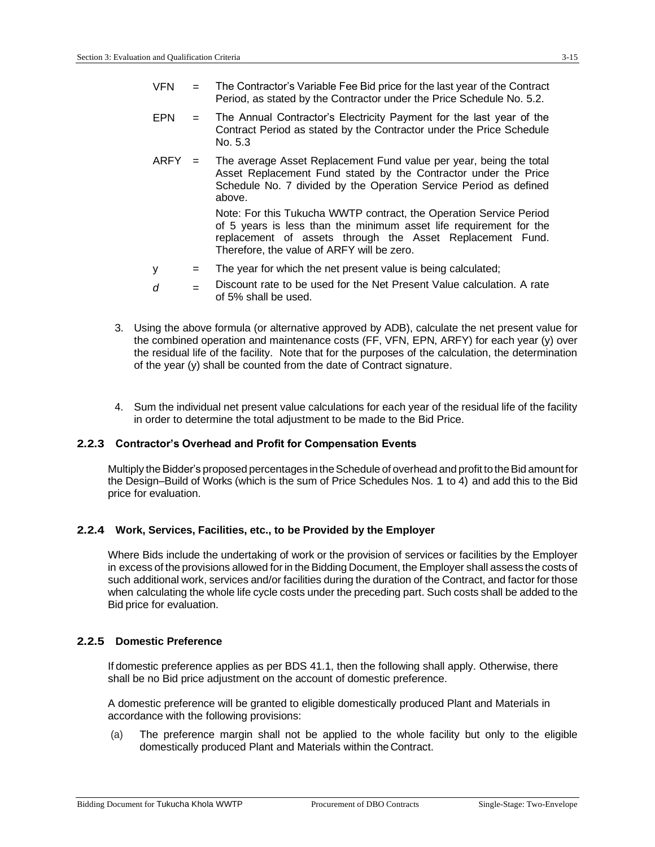- $VFN =$  The Contractor's Variable Fee Bid price for the last year of the Contract Period, as stated by the Contractor under the Price Schedule No. 5.2.
- EPN = The Annual Contractor's Electricity Payment for the last year of the Contract Period as stated by the Contractor under the Price Schedule No. 5.3
- $ARFY =$  The average Asset Replacement Fund value per year, being the total Asset Replacement Fund stated by the Contractor under the Price Schedule No. 7 divided by the Operation Service Period as defined above.

Note: For this Tukucha WWTP contract, the Operation Service Period of 5 years is less than the minimum asset life requirement for the replacement of assets through the Asset Replacement Fund. Therefore, the value of ARFY will be zero.

- y = The year for which the net present value is being calculated;
- $\alpha$  = Discount rate to be used for the Net Present Value calculation. A rate of 5% shall be used.
- 3. Using the above formula (or alternative approved by ADB), calculate the net present value for the combined operation and maintenance costs (FF, VFN, EPN, ARFY) for each year (y) over the residual life of the facility. Note that for the purposes of the calculation, the determination of the year (y) shall be counted from the date of Contract signature.
- 4. Sum the individual net present value calculations for each year of the residual life of the facility in order to determine the total adjustment to be made to the Bid Price.

#### **2.2.3 Contractor's Overhead and Profit for Compensation Events**

Multiply the Bidder's proposed percentages in the Schedule of overhead and profit to the Bid amount for the Design–Build of Works (which is the sum of Price Schedules Nos. 1 to 4) and add this to the Bid price for evaluation.

#### **2.2.4 Work, Services, Facilities, etc., to be Provided by the Employer**

Where Bids include the undertaking of work or the provision of services or facilities by the Employer in excess of the provisions allowed for in the Bidding Document, the Employer shall assess the costs of such additional work, services and/or facilities during the duration of the Contract, and factor for those when calculating the whole life cycle costs under the preceding part. Such costs shall be added to the Bid price for evaluation.

#### **2.2.5 Domestic Preference**

If domestic preference applies as per BDS 41.1, then the following shall apply. Otherwise, there shall be no Bid price adjustment on the account of domestic preference.

A domestic preference will be granted to eligible domestically produced Plant and Materials in accordance with the following provisions:

(a) The preference margin shall not be applied to the whole facility but only to the eligible domestically produced Plant and Materials within the Contract.